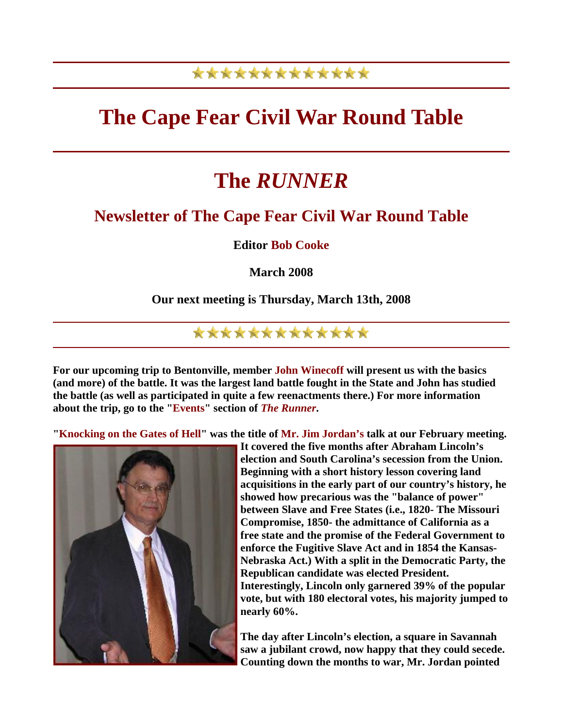### \*\*\*\*\*\*\*\*\*\*\*\*\*

## **The Cape Fear Civil War Round Table**

# **The** *RUNNER*

### **Newsletter of The Cape Fear Civil War Round Table**

**Editor Bob Cooke** 

**March 2008** 

#### **Our next meeting is Thursday, March 13th, 2008**

### \*\*\*\*\*\*\*\*\*\*\*\*\*

**For our upcoming trip to Bentonville, member John Winecoff will present us with the basics (and more) of the battle. It was the largest land battle fought in the State and John has studied the battle (as well as participated in quite a few reenactments there.) For more information about the trip, go to the "Events" section of** *The Runner***.** 

**"Knocking on the Gates of Hell" was the title of Mr. Jim Jordan's talk at our February meeting.** 



**It covered the five months after Abraham Lincoln's election and South Carolina's secession from the Union. Beginning with a short history lesson covering land acquisitions in the early part of our country's history, he showed how precarious was the "balance of power" between Slave and Free States (i.e., 1820- The Missouri Compromise, 1850- the admittance of California as a free state and the promise of the Federal Government to enforce the Fugitive Slave Act and in 1854 the Kansas-Nebraska Act.) With a split in the Democratic Party, the Republican candidate was elected President. Interestingly, Lincoln only garnered 39% of the popular vote, but with 180 electoral votes, his majority jumped to nearly 60%.** 

**The day after Lincoln's election, a square in Savannah saw a jubilant crowd, now happy that they could secede. Counting down the months to war, Mr. Jordan pointed**